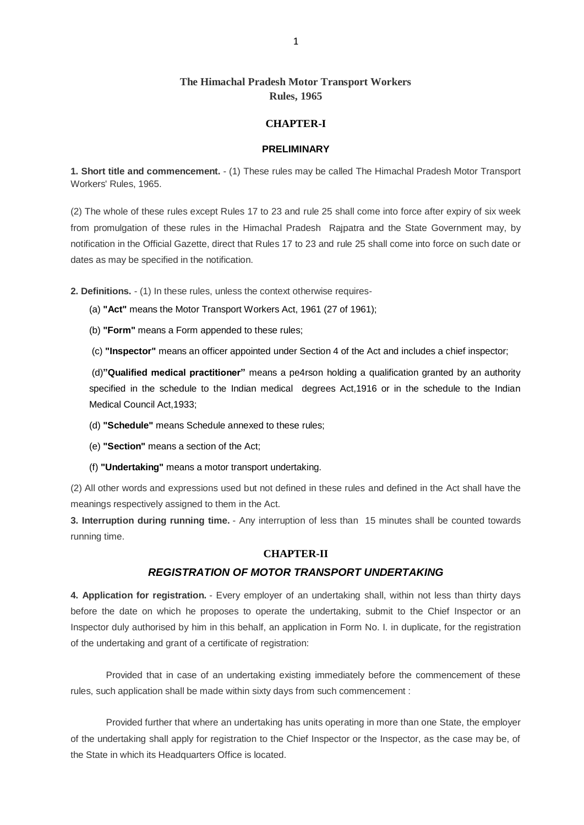# **The Himachal Pradesh Motor Transport Workers Rules, 1965**

## **CHAPTER-I**

### **PRELIMINARY**

**1. Short title and commencement.** - (1) These rules may be called The Himachal Pradesh Motor Transport Workers' Rules, 1965.

(2) The whole of these rules except Rules 17 to 23 and rule 25 shall come into force after expiry of six week from promulgation of these rules in the Himachal Pradesh Rajpatra and the State Government may, by notification in the Official Gazette, direct that Rules 17 to 23 and rule 25 shall come into force on such date or dates as may be specified in the notification.

**2. Definitions.** - (1) In these rules, unless the context otherwise requires-

- (a) **"Act"** means the Motor Transport Workers Act, 1961 (27 of 1961);
- (b) **"Form"** means a Form appended to these rules;
- (c) **"Inspector"** means an officer appointed under Section 4 of the Act and includes a chief inspector;

(d)**"Qualified medical practitioner"** means a pe4rson holding a qualification granted by an authority specified in the schedule to the Indian medical degrees Act,1916 or in the schedule to the Indian Medical Council Act,1933;

- (d) **"Schedule"** means Schedule annexed to these rules;
- (e) **"Section"** means a section of the Act;
- (f) **"Undertaking"** means a motor transport undertaking.

(2) All other words and expressions used but not defined in these rules and defined in the Act shall have the meanings respectively assigned to them in the Act.

**3. Interruption during running time.** - Any interruption of less than 15 minutes shall be counted towards running time.

### **CHAPTER-II**

### *REGISTRATION OF MOTOR TRANSPORT UNDERTAKING*

**4. Application for registration.** - Every employer of an undertaking shall, within not less than thirty days before the date on which he proposes to operate the undertaking, submit to the Chief Inspector or an Inspector duly authorised by him in this behalf, an application in Form No. I. in duplicate, for the registration of the undertaking and grant of a certificate of registration:

Provided that in case of an undertaking existing immediately before the commencement of these rules, such application shall be made within sixty days from such commencement :

Provided further that where an undertaking has units operating in more than one State, the employer of the undertaking shall apply for registration to the Chief Inspector or the Inspector, as the case may be, of the State in which its Headquarters Office is located.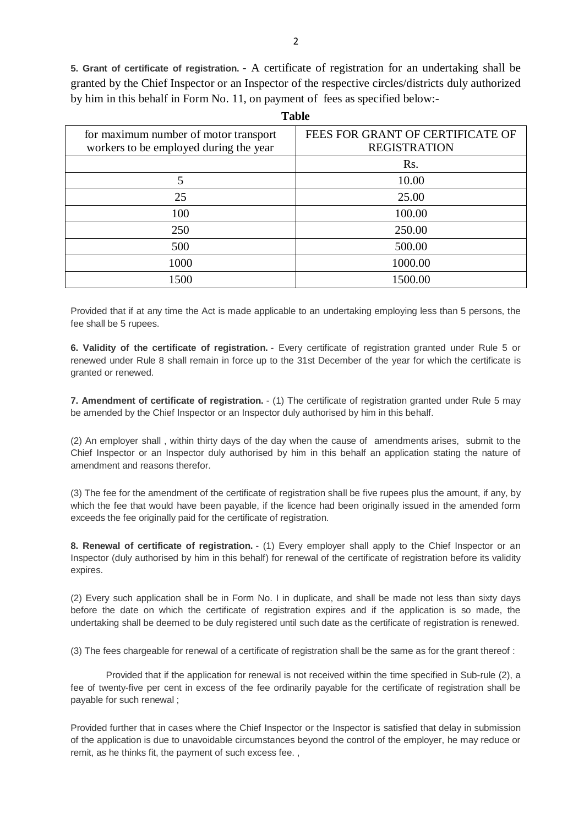**5. Grant of certificate of registration.** - A certificate of registration for an undertaking shall be granted by the Chief Inspector or an Inspector of the respective circles/districts duly authorized by him in this behalf in Form No. 11, on payment of fees as specified below:-

| for maximum number of motor transport<br>workers to be employed during the year | FEES FOR GRANT OF CERTIFICATE OF<br><b>REGISTRATION</b> |
|---------------------------------------------------------------------------------|---------------------------------------------------------|
|                                                                                 | Rs.                                                     |
| 5                                                                               | 10.00                                                   |
| 25                                                                              | 25.00                                                   |
| 100                                                                             | 100.00                                                  |
| 250                                                                             | 250.00                                                  |
| 500                                                                             | 500.00                                                  |
| 1000                                                                            | 1000.00                                                 |
| 1500                                                                            | 1500.00                                                 |

**Table**

Provided that if at any time the Act is made applicable to an undertaking employing less than 5 persons, the fee shall be 5 rupees.

**6. Validity of the certificate of registration.** - Every certificate of registration granted under Rule 5 or renewed under Rule 8 shall remain in force up to the 31st December of the year for which the certificate is granted or renewed.

**7. Amendment of certificate of registration.** - (1) The certificate of registration granted under Rule 5 may be amended by the Chief Inspector or an Inspector duly authorised by him in this behalf.

(2) An employer shall , within thirty days of the day when the cause of amendments arises, submit to the Chief Inspector or an Inspector duly authorised by him in this behalf an application stating the nature of amendment and reasons therefor.

(3) The fee for the amendment of the certificate of registration shall be five rupees plus the amount, if any, by which the fee that would have been payable, if the licence had been originally issued in the amended form exceeds the fee originally paid for the certificate of registration.

**8. Renewal of certificate of registration.** - (1) Every employer shall apply to the Chief Inspector or an Inspector (duly authorised by him in this behalf) for renewal of the certificate of registration before its validity expires.

(2) Every such application shall be in Form No. I in duplicate, and shall be made not less than sixty days before the date on which the certificate of registration expires and if the application is so made, the undertaking shall be deemed to be duly registered until such date as the certificate of registration is renewed.

(3) The fees chargeable for renewal of a certificate of registration shall be the same as for the grant thereof :

Provided that if the application for renewal is not received within the time specified in Sub-rule (2), a fee of twenty-five per cent in excess of the fee ordinarily payable for the certificate of registration shall be payable for such renewal ;

Provided further that in cases where the Chief Inspector or the Inspector is satisfied that delay in submission of the application is due to unavoidable circumstances beyond the control of the employer, he may reduce or remit, as he thinks fit, the payment of such excess fee. ,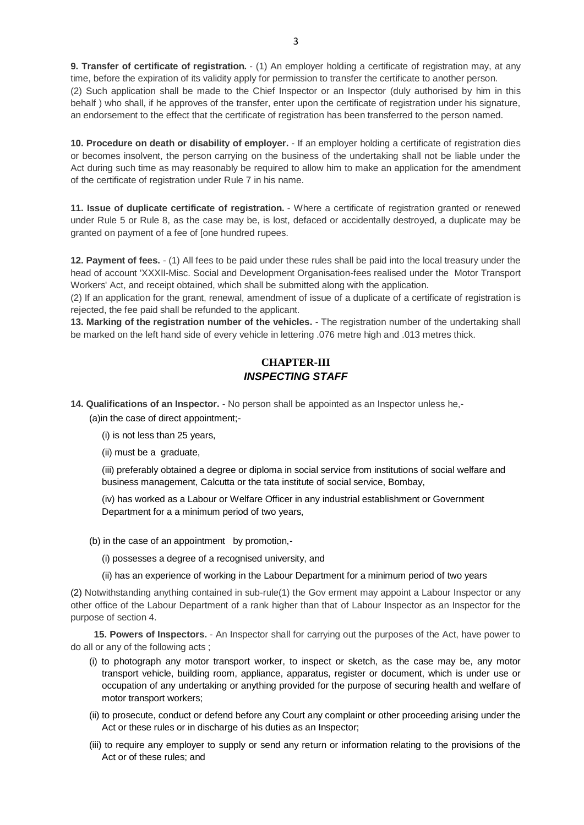**9. Transfer of certificate of registration.** - (1) An employer holding a certificate of registration may, at any time, before the expiration of its validity apply for permission to transfer the certificate to another person. (2) Such application shall be made to the Chief Inspector or an Inspector (duly authorised by him in this behalf ) who shall, if he approves of the transfer, enter upon the certificate of registration under his signature, an endorsement to the effect that the certificate of registration has been transferred to the person named.

**10. Procedure on death or disability of employer.** - If an employer holding a certificate of registration dies or becomes insolvent, the person carrying on the business of the undertaking shall not be liable under the Act during such time as may reasonably be required to allow him to make an application for the amendment of the certificate of registration under Rule 7 in his name.

**11. Issue of duplicate certificate of registration.** - Where a certificate of registration granted or renewed under Rule 5 or Rule 8, as the case may be, is lost, defaced or accidentally destroyed, a duplicate may be granted on payment of a fee of [one hundred rupees.

**12. Payment of fees.** - (1) All fees to be paid under these rules shall be paid into the local treasury under the head of account 'XXXII-Misc. Social and Development Organisation-fees realised under the Motor Transport Workers' Act, and receipt obtained, which shall be submitted along with the application.

(2) If an application for the grant, renewal, amendment of issue of a duplicate of a certificate of registration is rejected, the fee paid shall be refunded to the applicant.

**13. Marking of the registration number of the vehicles.** - The registration number of the undertaking shall be marked on the left hand side of every vehicle in lettering .076 metre high and .013 metres thick.

# **CHAPTER-III** *INSPECTING STAFF*

**14. Qualifications of an Inspector.** - No person shall be appointed as an Inspector unless he,- (a)in the case of direct appointment;-

(i) is not less than 25 years,

(ii) must be a graduate,

(iii) preferably obtained a degree or diploma in social service from institutions of social welfare and business management, Calcutta or the tata institute of social service, Bombay,

(iv) has worked as a Labour or Welfare Officer in any industrial establishment or Government Department for a a minimum period of two years,

- (b) in the case of an appointment by promotion,-
	- (i) possesses a degree of a recognised university, and

(ii) has an experience of working in the Labour Department for a minimum period of two years

(2) Notwithstanding anything contained in sub-rule(1) the Gov erment may appoint a Labour Inspector or any other office of the Labour Department of a rank higher than that of Labour Inspector as an Inspector for the purpose of section 4.

 **15. Powers of Inspectors.** - An Inspector shall for carrying out the purposes of the Act, have power to do all or any of the following acts ;

- (i) to photograph any motor transport worker, to inspect or sketch, as the case may be, any motor transport vehicle, building room, appliance, apparatus, register or document, which is under use or occupation of any undertaking or anything provided for the purpose of securing health and welfare of motor transport workers;
- (ii) to prosecute, conduct or defend before any Court any complaint or other proceeding arising under the Act or these rules or in discharge of his duties as an Inspector;
- (iii) to require any employer to supply or send any return or information relating to the provisions of the Act or of these rules; and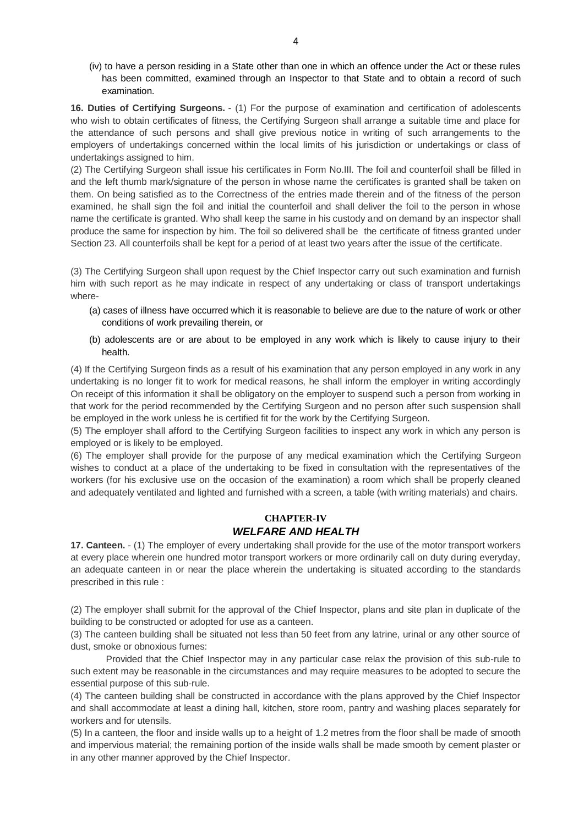(iv) to have a person residing in a State other than one in which an offence under the Act or these rules has been committed, examined through an Inspector to that State and to obtain a record of such examination.

**16. Duties of Certifying Surgeons.** - (1) For the purpose of examination and certification of adolescents who wish to obtain certificates of fitness, the Certifying Surgeon shall arrange a suitable time and place for the attendance of such persons and shall give previous notice in writing of such arrangements to the employers of undertakings concerned within the local limits of his jurisdiction or undertakings or class of undertakings assigned to him.

(2) The Certifying Surgeon shall issue his certificates in Form No.III. The foil and counterfoil shall be filled in and the left thumb mark/signature of the person in whose name the certificates is granted shall be taken on them. On being satisfied as to the Correctness of the entries made therein and of the fitness of the person examined, he shall sign the foil and initial the counterfoil and shall deliver the foil to the person in whose name the certificate is granted. Who shall keep the same in his custody and on demand by an inspector shall produce the same for inspection by him. The foil so delivered shall be the certificate of fitness granted under Section 23. All counterfoils shall be kept for a period of at least two years after the issue of the certificate.

(3) The Certifying Surgeon shall upon request by the Chief Inspector carry out such examination and furnish him with such report as he may indicate in respect of any undertaking or class of transport undertakings where-

- (a) cases of illness have occurred which it is reasonable to believe are due to the nature of work or other conditions of work prevailing therein, or
- (b) adolescents are or are about to be employed in any work which is likely to cause injury to their health.

(4) If the Certifying Surgeon finds as a result of his examination that any person employed in any work in any undertaking is no longer fit to work for medical reasons, he shall inform the employer in writing accordingly On receipt of this information it shall be obligatory on the employer to suspend such a person from working in that work for the period recommended by the Certifying Surgeon and no person after such suspension shall be employed in the work unless he is certified fit for the work by the Certifying Surgeon.

(5) The employer shall afford to the Certifying Surgeon facilities to inspect any work in which any person is employed or is likely to be employed.

(6) The employer shall provide for the purpose of any medical examination which the Certifying Surgeon wishes to conduct at a place of the undertaking to be fixed in consultation with the representatives of the workers (for his exclusive use on the occasion of the examination) a room which shall be properly cleaned and adequately ventilated and lighted and furnished with a screen, a table (with writing materials) and chairs.

# **CHAPTER-IV** *WELFARE AND HEALTH*

**17. Canteen.** - (1) The employer of every undertaking shall provide for the use of the motor transport workers at every place wherein one hundred motor transport workers or more ordinarily call on duty during everyday, an adequate canteen in or near the place wherein the undertaking is situated according to the standards prescribed in this rule :

(2) The employer shall submit for the approval of the Chief Inspector, plans and site plan in duplicate of the building to be constructed or adopted for use as a canteen.

(3) The canteen building shall be situated not less than 50 feet from any latrine, urinal or any other source of dust, smoke or obnoxious fumes:

Provided that the Chief Inspector may in any particular case relax the provision of this sub-rule to such extent may be reasonable in the circumstances and may require measures to be adopted to secure the essential purpose of this sub-rule.

(4) The canteen building shall be constructed in accordance with the plans approved by the Chief Inspector and shall accommodate at least a dining hall, kitchen, store room, pantry and washing places separately for workers and for utensils.

(5) In a canteen, the floor and inside walls up to a height of 1.2 metres from the floor shall be made of smooth and impervious material; the remaining portion of the inside walls shall be made smooth by cement plaster or in any other manner approved by the Chief Inspector.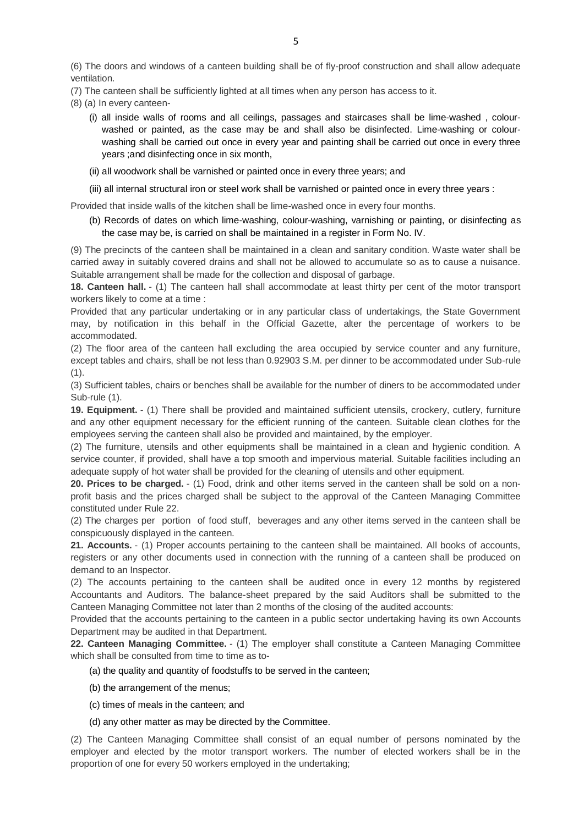(6) The doors and windows of a canteen building shall be of fly-proof construction and shall allow adequate ventilation.

(7) The canteen shall be sufficiently lighted at all times when any person has access to it.

- (8) (a) In every canteen-
	- (i) all inside walls of rooms and all ceilings, passages and staircases shall be lime-washed , colourwashed or painted, as the case may be and shall also be disinfected. Lime-washing or colourwashing shall be carried out once in every year and painting shall be carried out once in every three years ;and disinfecting once in six month,
	- (ii) all woodwork shall be varnished or painted once in every three years; and
	- (iii) all internal structural iron or steel work shall be varnished or painted once in every three years :

Provided that inside walls of the kitchen shall be lime-washed once in every four months.

(b) Records of dates on which lime-washing, colour-washing, varnishing or painting, or disinfecting as the case may be, is carried on shall be maintained in a register in Form No. IV.

(9) The precincts of the canteen shall be maintained in a clean and sanitary condition. Waste water shall be carried away in suitably covered drains and shall not be allowed to accumulate so as to cause a nuisance. Suitable arrangement shall be made for the collection and disposal of garbage.

**18. Canteen hall.** - (1) The canteen hall shall accommodate at least thirty per cent of the motor transport workers likely to come at a time :

Provided that any particular undertaking or in any particular class of undertakings, the State Government may, by notification in this behalf in the Official Gazette, alter the percentage of workers to be accommodated.

(2) The floor area of the canteen hall excluding the area occupied by service counter and any furniture, except tables and chairs, shall be not less than 0.92903 S.M. per dinner to be accommodated under Sub-rule  $(1).$ 

(3) Sufficient tables, chairs or benches shall be available for the number of diners to be accommodated under Sub-rule (1).

**19. Equipment.** - (1) There shall be provided and maintained sufficient utensils, crockery, cutlery, furniture and any other equipment necessary for the efficient running of the canteen. Suitable clean clothes for the employees serving the canteen shall also be provided and maintained, by the employer.

(2) The furniture, utensils and other equipments shall be maintained in a clean and hygienic condition. A service counter, if provided, shall have a top smooth and impervious material. Suitable facilities including an adequate supply of hot water shall be provided for the cleaning of utensils and other equipment.

**20. Prices to be charged.** - (1) Food, drink and other items served in the canteen shall be sold on a nonprofit basis and the prices charged shall be subject to the approval of the Canteen Managing Committee constituted under Rule 22.

(2) The charges per portion of food stuff, beverages and any other items served in the canteen shall be conspicuously displayed in the canteen.

**21. Accounts.** - (1) Proper accounts pertaining to the canteen shall be maintained. All books of accounts, registers or any other documents used in connection with the running of a canteen shall be produced on demand to an Inspector.

(2) The accounts pertaining to the canteen shall be audited once in every 12 months by registered Accountants and Auditors. The balance-sheet prepared by the said Auditors shall be submitted to the Canteen Managing Committee not later than 2 months of the closing of the audited accounts:

Provided that the accounts pertaining to the canteen in a public sector undertaking having its own Accounts Department may be audited in that Department.

**22. Canteen Managing Committee.** - (1) The employer shall constitute a Canteen Managing Committee which shall be consulted from time to time as to-

- (a) the quality and quantity of foodstuffs to be served in the canteen;
- (b) the arrangement of the menus;
- (c) times of meals in the canteen; and
- (d) any other matter as may be directed by the Committee.

(2) The Canteen Managing Committee shall consist of an equal number of persons nominated by the employer and elected by the motor transport workers. The number of elected workers shall be in the proportion of one for every 50 workers employed in the undertaking;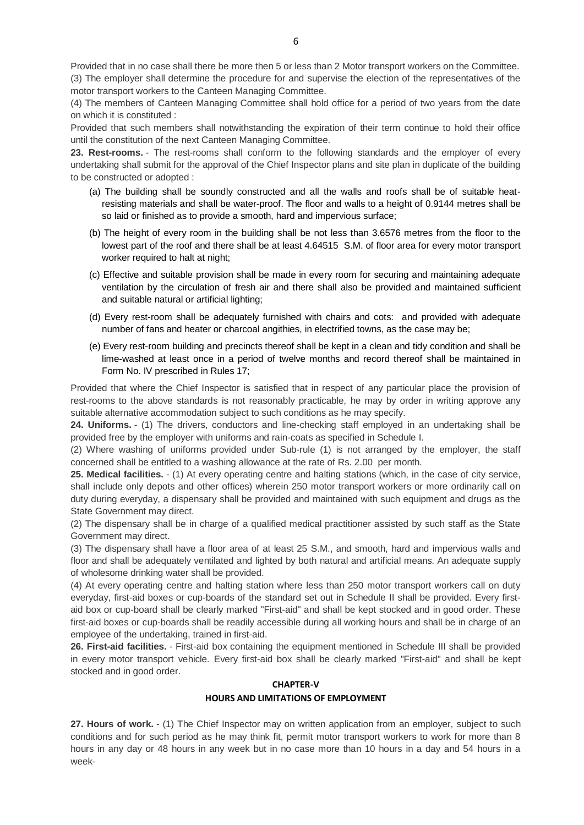Provided that in no case shall there be more then 5 or less than 2 Motor transport workers on the Committee. (3) The employer shall determine the procedure for and supervise the election of the representatives of the motor transport workers to the Canteen Managing Committee.

(4) The members of Canteen Managing Committee shall hold office for a period of two years from the date on which it is constituted :

Provided that such members shall notwithstanding the expiration of their term continue to hold their office until the constitution of the next Canteen Managing Committee.

**23. Rest-rooms.** - The rest-rooms shall conform to the following standards and the employer of every undertaking shall submit for the approval of the Chief Inspector plans and site plan in duplicate of the building to be constructed or adopted :

- (a) The building shall be soundly constructed and all the walls and roofs shall be of suitable heatresisting materials and shall be water-proof. The floor and walls to a height of 0.9144 metres shall be so laid or finished as to provide a smooth, hard and impervious surface;
- (b) The height of every room in the building shall be not less than 3.6576 metres from the floor to the lowest part of the roof and there shall be at least 4.64515 S.M. of floor area for every motor transport worker required to halt at night;
- (c) Effective and suitable provision shall be made in every room for securing and maintaining adequate ventilation by the circulation of fresh air and there shall also be provided and maintained sufficient and suitable natural or artificial lighting;
- (d) Every rest-room shall be adequately furnished with chairs and cots: and provided with adequate number of fans and heater or charcoal angithies, in electrified towns, as the case may be;
- (e) Every rest-room building and precincts thereof shall be kept in a clean and tidy condition and shall be lime-washed at least once in a period of twelve months and record thereof shall be maintained in Form No. IV prescribed in Rules 17;

Provided that where the Chief Inspector is satisfied that in respect of any particular place the provision of rest-rooms to the above standards is not reasonably practicable, he may by order in writing approve any suitable alternative accommodation subject to such conditions as he may specify.

**24. Uniforms.** - (1) The drivers, conductors and line-checking staff employed in an undertaking shall be provided free by the employer with uniforms and rain-coats as specified in Schedule I.

(2) Where washing of uniforms provided under Sub-rule (1) is not arranged by the employer, the staff concerned shall be entitled to a washing allowance at the rate of Rs. 2.00 per month.

**25. Medical facilities.** - (1) At every operating centre and halting stations (which, in the case of city service, shall include only depots and other offices) wherein 250 motor transport workers or more ordinarily call on duty during everyday, a dispensary shall be provided and maintained with such equipment and drugs as the State Government may direct.

(2) The dispensary shall be in charge of a qualified medical practitioner assisted by such staff as the State Government may direct.

(3) The dispensary shall have a floor area of at least 25 S.M., and smooth, hard and impervious walls and floor and shall be adequately ventilated and lighted by both natural and artificial means. An adequate supply of wholesome drinking water shall be provided.

(4) At every operating centre and halting station where less than 250 motor transport workers call on duty everyday, first-aid boxes or cup-boards of the standard set out in Schedule II shall be provided. Every firstaid box or cup-board shall be clearly marked "First-aid" and shall be kept stocked and in good order. These first-aid boxes or cup-boards shall be readily accessible during all working hours and shall be in charge of an employee of the undertaking, trained in first-aid.

**26. First-aid facilities.** - First-aid box containing the equipment mentioned in Schedule III shall be provided in every motor transport vehicle. Every first-aid box shall be clearly marked "First-aid" and shall be kept stocked and in good order.

#### **CHAPTER-V**

## **HOURS AND LIMITATIONS OF EMPLOYMENT**

**27. Hours of work.** - (1) The Chief Inspector may on written application from an employer, subject to such conditions and for such period as he may think fit, permit motor transport workers to work for more than 8 hours in any day or 48 hours in any week but in no case more than 10 hours in a day and 54 hours in a week-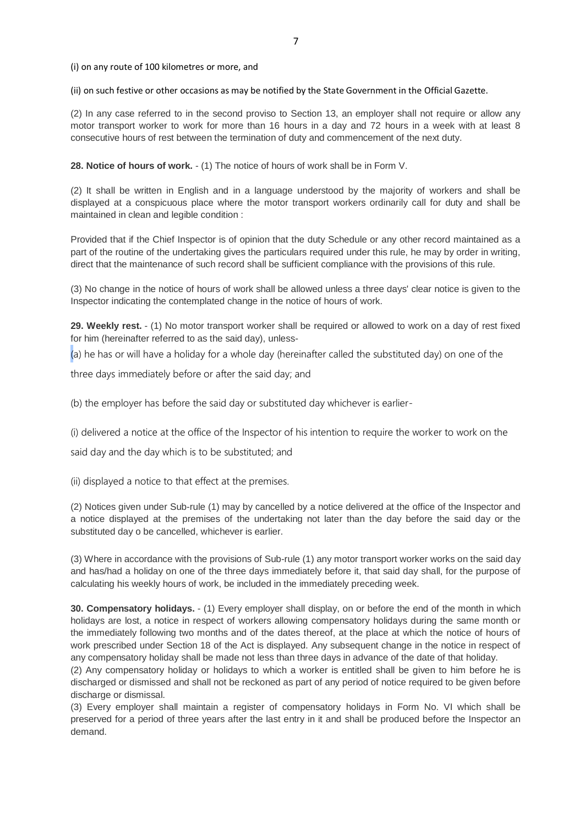### (i) on any route of 100 kilometres or more, and

(ii) on such festive or other occasions as may be notified by the State Government in the Official Gazette.

(2) In any case referred to in the second proviso to Section 13, an employer shall not require or allow any motor transport worker to work for more than 16 hours in a day and 72 hours in a week with at least 8 consecutive hours of rest between the termination of duty and commencement of the next duty.

**28. Notice of hours of work.** - (1) The notice of hours of work shall be in Form V.

(2) It shall be written in English and in a language understood by the majority of workers and shall be displayed at a conspicuous place where the motor transport workers ordinarily call for duty and shall be maintained in clean and legible condition :

Provided that if the Chief Inspector is of opinion that the duty Schedule or any other record maintained as a part of the routine of the undertaking gives the particulars required under this rule, he may by order in writing, direct that the maintenance of such record shall be sufficient compliance with the provisions of this rule.

(3) No change in the notice of hours of work shall be allowed unless a three days' clear notice is given to the Inspector indicating the contemplated change in the notice of hours of work.

**29. Weekly rest.** - (1) No motor transport worker shall be required or allowed to work on a day of rest fixed for him (hereinafter referred to as the said day), unless-

(a) he has or will have a holiday for a whole day (hereinafter called the substituted day) on one of the

three days immediately before or after the said day; and

(b) the employer has before the said day or substituted day whichever is earlier-

(i) delivered a notice at the office of the Inspector of his intention to require the worker to work on the

said day and the day which is to be substituted; and

(ii) displayed a notice to that effect at the premises.

(2) Notices given under Sub-rule (1) may by cancelled by a notice delivered at the office of the Inspector and a notice displayed at the premises of the undertaking not later than the day before the said day or the substituted day o be cancelled, whichever is earlier.

(3) Where in accordance with the provisions of Sub-rule (1) any motor transport worker works on the said day and has/had a holiday on one of the three days immediately before it, that said day shall, for the purpose of calculating his weekly hours of work, be included in the immediately preceding week.

**30. Compensatory holidays.** - (1) Every employer shall display, on or before the end of the month in which holidays are lost, a notice in respect of workers allowing compensatory holidays during the same month or the immediately following two months and of the dates thereof, at the place at which the notice of hours of work prescribed under Section 18 of the Act is displayed. Any subsequent change in the notice in respect of any compensatory holiday shall be made not less than three days in advance of the date of that holiday.

(2) Any compensatory holiday or holidays to which a worker is entitled shall be given to him before he is discharged or dismissed and shall not be reckoned as part of any period of notice required to be given before discharge or dismissal.

(3) Every employer shall maintain a register of compensatory holidays in Form No. VI which shall be preserved for a period of three years after the last entry in it and shall be produced before the Inspector an demand.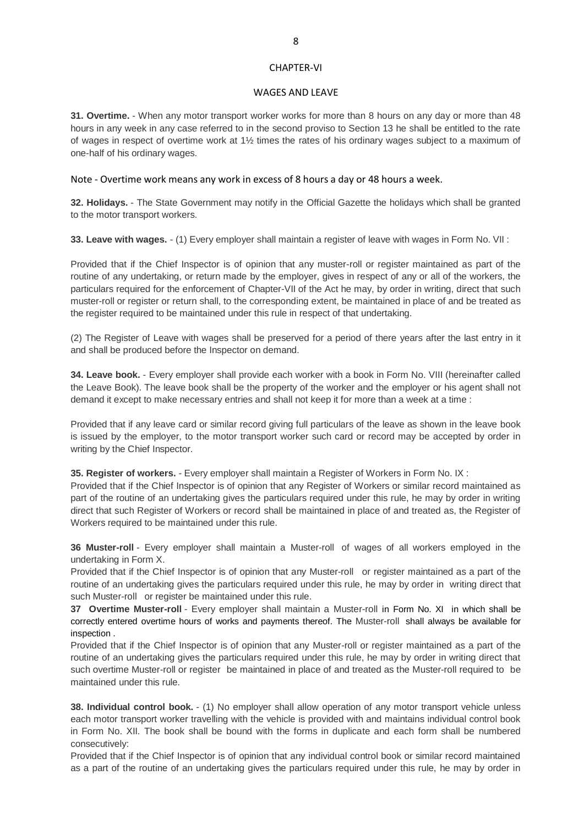## CHAPTER-VI

## WAGES AND LEAVE

**31. Overtime.** - When any motor transport worker works for more than 8 hours on any day or more than 48 hours in any week in any case referred to in the second proviso to Section 13 he shall be entitled to the rate of wages in respect of overtime work at 1½ times the rates of his ordinary wages subject to a maximum of one-half of his ordinary wages.

## Note - Overtime work means any work in excess of 8 hours a day or 48 hours a week.

**32. Holidays.** - The State Government may notify in the Official Gazette the holidays which shall be granted to the motor transport workers.

**33. Leave with wages.** - (1) Every employer shall maintain a register of leave with wages in Form No. VII :

Provided that if the Chief Inspector is of opinion that any muster-roll or register maintained as part of the routine of any undertaking, or return made by the employer, gives in respect of any or all of the workers, the particulars required for the enforcement of Chapter-VII of the Act he may, by order in writing, direct that such muster-roll or register or return shall, to the corresponding extent, be maintained in place of and be treated as the register required to be maintained under this rule in respect of that undertaking.

(2) The Register of Leave with wages shall be preserved for a period of there years after the last entry in it and shall be produced before the Inspector on demand.

**34. Leave book.** - Every employer shall provide each worker with a book in Form No. VIII (hereinafter called the Leave Book). The leave book shall be the property of the worker and the employer or his agent shall not demand it except to make necessary entries and shall not keep it for more than a week at a time :

Provided that if any leave card or similar record giving full particulars of the leave as shown in the leave book is issued by the employer, to the motor transport worker such card or record may be accepted by order in writing by the Chief Inspector.

## **35. Register of workers.** - Every employer shall maintain a Register of Workers in Form No. IX :

Provided that if the Chief Inspector is of opinion that any Register of Workers or similar record maintained as part of the routine of an undertaking gives the particulars required under this rule, he may by order in writing direct that such Register of Workers or record shall be maintained in place of and treated as, the Register of Workers required to be maintained under this rule.

**36 Muster-roll** - Every employer shall maintain a Muster-roll of wages of all workers employed in the undertaking in Form X.

Provided that if the Chief Inspector is of opinion that any Muster-roll or register maintained as a part of the routine of an undertaking gives the particulars required under this rule, he may by order in writing direct that such Muster-roll or register be maintained under this rule.

**37 Overtime Muster-roll** - Every employer shall maintain a Muster-roll in Form No. XI in which shall be correctly entered overtime hours of works and payments thereof. The Muster-roll shall always be available for inspection .

Provided that if the Chief Inspector is of opinion that any Muster-roll or register maintained as a part of the routine of an undertaking gives the particulars required under this rule, he may by order in writing direct that such overtime Muster-roll or register be maintained in place of and treated as the Muster-roll required to be maintained under this rule.

**38. Individual control book.** - (1) No employer shall allow operation of any motor transport vehicle unless each motor transport worker travelling with the vehicle is provided with and maintains individual control book in Form No. XII. The book shall be bound with the forms in duplicate and each form shall be numbered consecutively:

Provided that if the Chief Inspector is of opinion that any individual control book or similar record maintained as a part of the routine of an undertaking gives the particulars required under this rule, he may by order in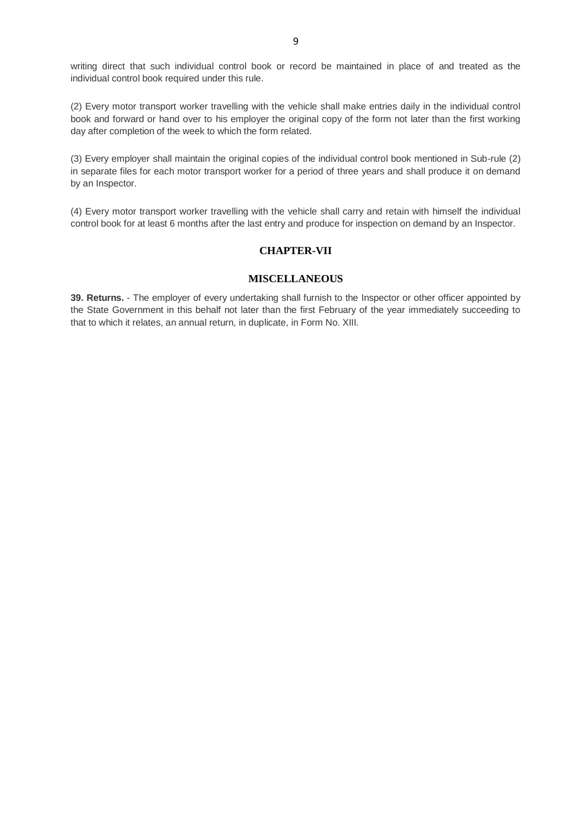writing direct that such individual control book or record be maintained in place of and treated as the individual control book required under this rule.

(2) Every motor transport worker travelling with the vehicle shall make entries daily in the individual control book and forward or hand over to his employer the original copy of the form not later than the first working day after completion of the week to which the form related.

(3) Every employer shall maintain the original copies of the individual control book mentioned in Sub-rule (2) in separate files for each motor transport worker for a period of three years and shall produce it on demand by an Inspector.

(4) Every motor transport worker travelling with the vehicle shall carry and retain with himself the individual control book for at least 6 months after the last entry and produce for inspection on demand by an Inspector.

## **CHAPTER-VII**

## **MISCELLANEOUS**

**39. Returns.** - The employer of every undertaking shall furnish to the Inspector or other officer appointed by the State Government in this behalf not later than the first February of the year immediately succeeding to that to which it relates, an annual return, in duplicate, in Form No. XIII.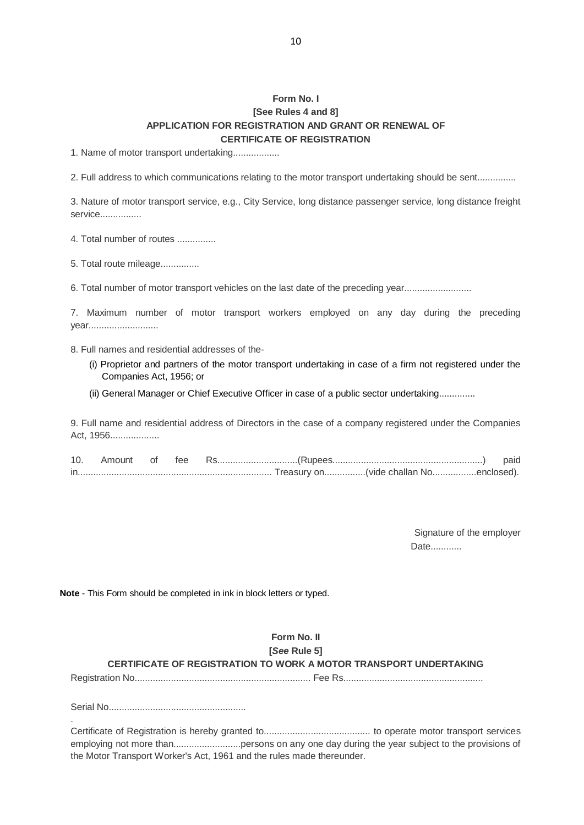## **Form No. I [See Rules 4 and 8] APPLICATION FOR REGISTRATION AND GRANT OR RENEWAL OF CERTIFICATE OF REGISTRATION**

1. Name of motor transport undertaking.................

2. Full address to which communications relating to the motor transport undertaking should be sent...............

3. Nature of motor transport service, e.g., City Service, long distance passenger service, long distance freight service................

4. Total number of routes ...............

5. Total route mileage...............

6. Total number of motor transport vehicles on the last date of the preceding year..........................

7. Maximum number of motor transport workers employed on any day during the preceding year..........................

8. Full names and residential addresses of the-

- (i) Proprietor and partners of the motor transport undertaking in case of a firm not registered under the Companies Act, 1956; or
- (ii) General Manager or Chief Executive Officer in case of a public sector undertaking..............

9. Full name and residential address of Directors in the case of a company registered under the Companies Act, 1956....................

10. Amount of fee Rs...............................(Rupees..........................................................) paid in........................................................................... Treasury on................(vide challan No.................enclosed).

> Signature of the employer Date............

**Note** - This Form should be completed in ink in block letters or typed.

| Form No. II                                                       |  |
|-------------------------------------------------------------------|--|
| [See Rule 5]                                                      |  |
| CERTIFICATE OF REGISTRATION TO WORK A MOTOR TRANSPORT UNDERTAKING |  |
|                                                                   |  |

Serial No.....................................................

.

Certificate of Registration is hereby granted to......................................... to operate motor transport services employing not more than................................persons on any one day during the year subject to the provisions of the Motor Transport Worker's Act, 1961 and the rules made thereunder.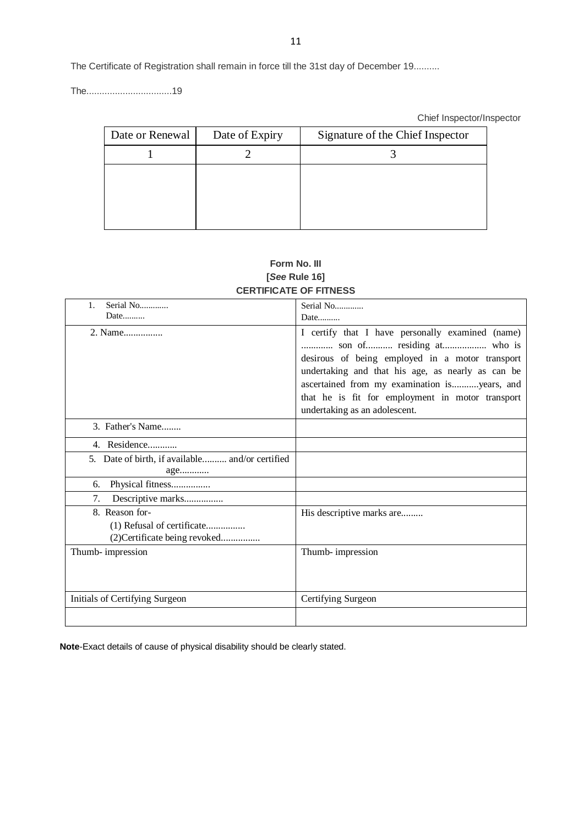The Certificate of Registration shall remain in force till the 31st day of December 19..........

The.................................19

Chief Inspector/Inspector

| Date or Renewal | Date of Expiry | Signature of the Chief Inspector |
|-----------------|----------------|----------------------------------|
|                 |                |                                  |
|                 |                |                                  |
|                 |                |                                  |
|                 |                |                                  |
|                 |                |                                  |

# **Form No. III [***See* **Rule 16] CERTIFICATE OF FITNESS**

| Serial No<br>1.                                                               | Serial No                                                                                                                                                                                                                                                                                                                  |
|-------------------------------------------------------------------------------|----------------------------------------------------------------------------------------------------------------------------------------------------------------------------------------------------------------------------------------------------------------------------------------------------------------------------|
|                                                                               | Date                                                                                                                                                                                                                                                                                                                       |
| 2. Name                                                                       | I certify that I have personally examined (name)<br>son of residing at who is<br>desirous of being employed in a motor transport<br>undertaking and that his age, as nearly as can be<br>ascertained from my examination isyears, and<br>that he is fit for employment in motor transport<br>undertaking as an adolescent. |
| 3. Father's Name                                                              |                                                                                                                                                                                                                                                                                                                            |
| 4. Residence                                                                  |                                                                                                                                                                                                                                                                                                                            |
| 5. Date of birth, if available and/or certified<br>age                        |                                                                                                                                                                                                                                                                                                                            |
| Physical fitness<br>6.                                                        |                                                                                                                                                                                                                                                                                                                            |
| Descriptive marks<br>7.                                                       |                                                                                                                                                                                                                                                                                                                            |
| 8. Reason for-<br>(1) Refusal of certificate<br>(2) Certificate being revoked | His descriptive marks are                                                                                                                                                                                                                                                                                                  |
| Thumb-impression                                                              | Thumb-impression                                                                                                                                                                                                                                                                                                           |
| Initials of Certifying Surgeon                                                | Certifying Surgeon                                                                                                                                                                                                                                                                                                         |
|                                                                               |                                                                                                                                                                                                                                                                                                                            |

**Note**-Exact details of cause of physical disability should be clearly stated.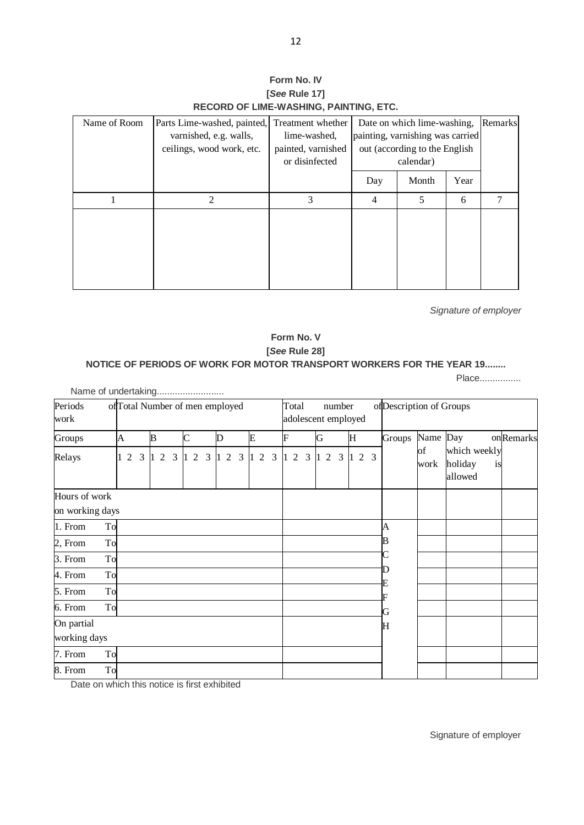**Form No. IV [***See* **Rule 17] RECORD OF LIME-WASHING, PAINTING, ETC.**

| Name of Room | Parts Lime-washed, painted,<br>varnished, e.g. walls,<br>ceilings, wood work, etc. | Treatment whether<br>lime-washed,<br>painted, varnished | Date on which lime-washing,<br>painting, varnishing was carried<br>out (according to the English |           | Remarks |   |
|--------------|------------------------------------------------------------------------------------|---------------------------------------------------------|--------------------------------------------------------------------------------------------------|-----------|---------|---|
|              |                                                                                    | or disinfected                                          |                                                                                                  | calendar) |         |   |
|              |                                                                                    |                                                         | Day                                                                                              | Month     | Year    |   |
|              | $\mathfrak{D}$                                                                     | 3                                                       | 4                                                                                                | 5         | 6       | 7 |
|              |                                                                                    |                                                         |                                                                                                  |           |         |   |
|              |                                                                                    |                                                         |                                                                                                  |           |         |   |

*Signature of employer*

# **Form No. V [***See* **Rule 28] NOTICE OF PERIODS OF WORK FOR MOTOR TRANSPORT WORKERS FOR THE YEAR 19........**

Place................

| Periods         | of Total Number of men employed |              |                             |                |                     | Total | number              |             | of Description of Groups |          |                    |           |
|-----------------|---------------------------------|--------------|-----------------------------|----------------|---------------------|-------|---------------------|-------------|--------------------------|----------|--------------------|-----------|
| work            |                                 |              |                             |                |                     |       | adolescent employed |             |                          |          |                    |           |
| Groups          | A                               | $\mathbf{B}$ | $\mathsf{C}$                | D              | E                   | F     | G                   | Η           | Groups                   | Name Day |                    | onRemarks |
| Relays          | $2 \quad 3$<br>1                | $2 \quad 3$  | $2 \quad 3$<br>$\mathbf{1}$ | 2 <sub>3</sub> | 2 <sub>3</sub><br>1 | 123   | 123                 | $1\,2$<br>3 |                          | of       | which weekly       |           |
|                 |                                 |              |                             |                |                     |       |                     |             |                          | work     | holiday<br>allowed | is        |
| Hours of work   |                                 |              |                             |                |                     |       |                     |             |                          |          |                    |           |
| on working days |                                 |              |                             |                |                     |       |                     |             |                          |          |                    |           |
| 1. From<br>To   |                                 |              |                             |                |                     |       |                     |             | A                        |          |                    |           |
| To<br>2, From   |                                 |              |                             |                |                     |       |                     |             | B                        |          |                    |           |
| To<br>3. From   |                                 |              |                             |                |                     |       |                     |             | ◡                        |          |                    |           |
| To<br>4. From   |                                 |              |                             |                |                     |       |                     |             |                          |          |                    |           |
| 5. From<br>To   |                                 |              |                             |                |                     |       |                     |             |                          |          |                    |           |
| To<br>6. From   |                                 |              |                             |                |                     |       |                     |             | G                        |          |                    |           |
| On partial      |                                 |              |                             |                |                     |       |                     |             | Η                        |          |                    |           |
| working days    |                                 |              |                             |                |                     |       |                     |             |                          |          |                    |           |
| 7. From<br>To   |                                 |              |                             |                |                     |       |                     |             |                          |          |                    |           |
| To<br>8. From   |                                 |              |                             |                |                     |       |                     |             |                          |          |                    |           |

Date on which this notice is first exhibited

Name of undertaking..........................

Signature of employer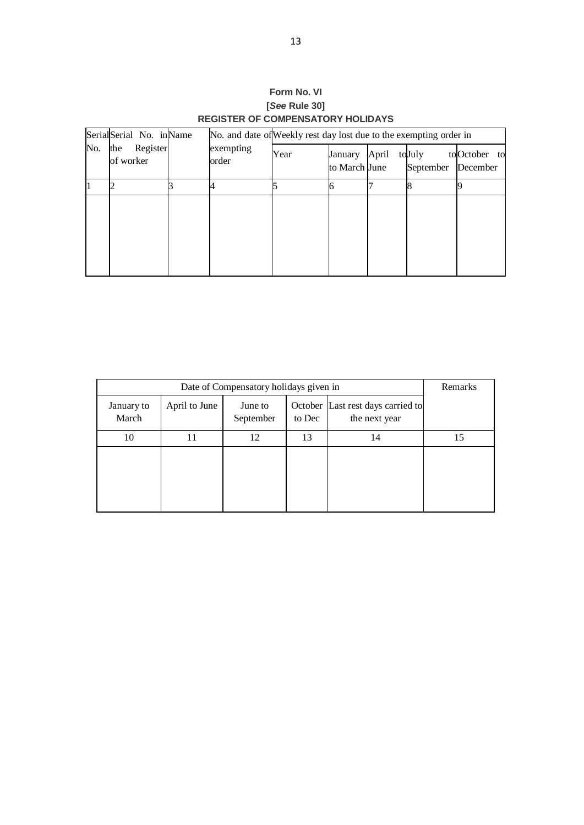|     | SerialSerial No. inName      | No. and date of Weekly rest day lost due to the exempting order in |      |                          |       |                     |                          |
|-----|------------------------------|--------------------------------------------------------------------|------|--------------------------|-------|---------------------|--------------------------|
| No. | the<br>Register<br>of worker | exempting<br>order                                                 | Year | January<br>to March June | April | toJuly<br>September | toOctober to<br>December |
|     |                              |                                                                    |      |                          |       |                     |                          |
|     |                              |                                                                    |      |                          |       |                     |                          |

**Form No. VI [***See* **Rule 30] REGISTER OF COMPENSATORY HOLIDAYS**

|                     | Remarks       |                      |        |                                                    |    |
|---------------------|---------------|----------------------|--------|----------------------------------------------------|----|
| January to<br>March | April to June | June to<br>September | to Dec | October Last rest days carried to<br>the next year |    |
| 10                  | 11            | 12                   | 13     | 14                                                 | 15 |
|                     |               |                      |        |                                                    |    |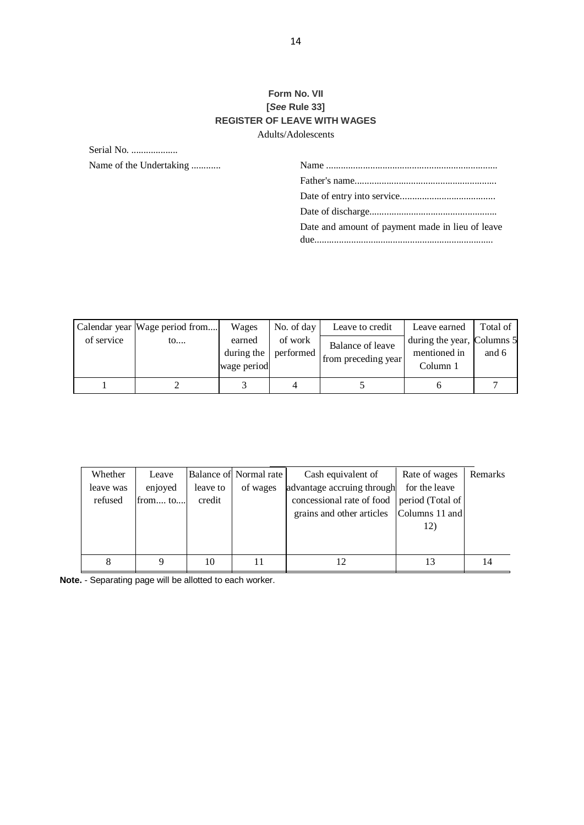# **Form No. VII [***See* **Rule 33] REGISTER OF LEAVE WITH WAGES**

Adults/Adolescents

| Name of the Undertaking |                                                  |
|-------------------------|--------------------------------------------------|
|                         |                                                  |
|                         |                                                  |
|                         |                                                  |
|                         | Date and amount of payment made in lieu of leave |
|                         |                                                  |

|            | Calendar year Wage period from | Wages       | No. of day | Leave to credit     | Leave earned               | Total of |
|------------|--------------------------------|-------------|------------|---------------------|----------------------------|----------|
| of service | $\mathfrak{g}_{0}$             | earned      | of work    | Balance of leave    | during the year, Columns 5 |          |
|            |                                | during the  | performed  | from preceding year | mentioned in               | and 6    |
|            |                                | wage period |            |                     | Column 1                   |          |
|            |                                |             |            |                     |                            |          |

| Whether   | Leave   |          | Balance of Normal rate | Cash equivalent of                       | Rate of wages    | Remarks |
|-----------|---------|----------|------------------------|------------------------------------------|------------------|---------|
| leave was | enjoyed | leave to | of wages               | advantage accruing through               | for the leave    |         |
| refused   | from to | credit   |                        | concessional rate of food                | period (Total of |         |
|           |         |          |                        | grains and other articles Columns 11 and |                  |         |
|           |         |          |                        |                                          | 12)              |         |
|           |         |          |                        |                                          |                  |         |
|           |         |          |                        |                                          |                  |         |
|           | 9       | 10       |                        |                                          |                  |         |

**Note.** - Separating page will be allotted to each worker.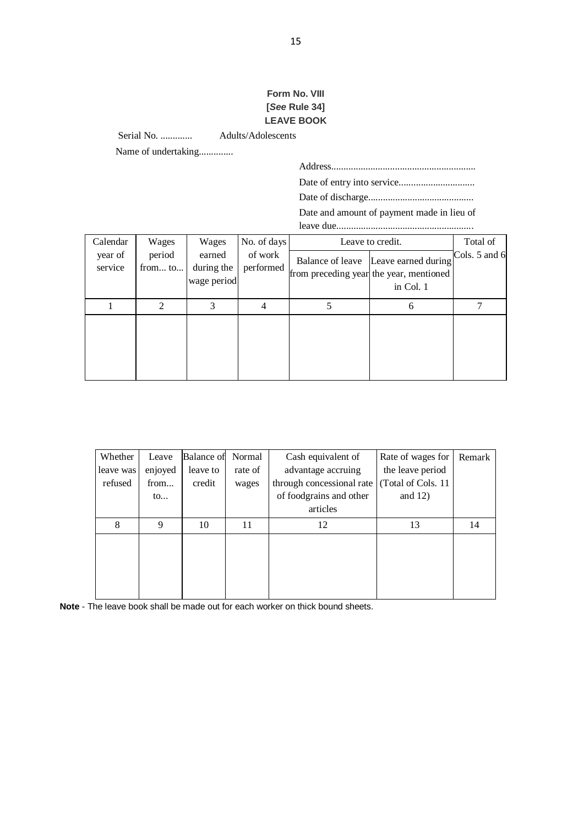# **Form No. VIII [***See* **Rule 34] LEAVE BOOK**

Serial No. ............. Adults/Adolescents

Name of undertaking..............

Address...........................................................

Date of entry into service...............................

Date of discharge...........................................

Date and amount of payment made in lieu of

leave due........................................................

| Calendar           | Wages             | Wages                               | No. of days          | Leave to credit.                                                                             | Total of      |
|--------------------|-------------------|-------------------------------------|----------------------|----------------------------------------------------------------------------------------------|---------------|
| year of<br>service | period<br>from to | earned<br>during the<br>wage period | of work<br>performed | Balance of leave Leave earned during<br>from preceding year the year, mentioned<br>in Col. 1 | Cols. 5 and 6 |
|                    | 2                 | 3                                   | 4                    | 6                                                                                            |               |
|                    |                   |                                     |                      |                                                                                              |               |

| Whether   | Leave           | Balance of | Normal  | Cash equivalent of        | Rate of wages for   | Remark |
|-----------|-----------------|------------|---------|---------------------------|---------------------|--------|
| leave was | enjoyed         | leave to   | rate of | advantage accruing        | the leave period    |        |
| refused   | from            | credit     | wages   | through concessional rate | (Total of Cols. 11) |        |
|           | $\mathfrak{to}$ |            |         | of foodgrains and other   | and $12)$           |        |
|           |                 |            |         | articles                  |                     |        |
| 8         | 9               | 10         | 11      | 12                        | 13                  | 14     |
|           |                 |            |         |                           |                     |        |
|           |                 |            |         |                           |                     |        |
|           |                 |            |         |                           |                     |        |
|           |                 |            |         |                           |                     |        |
|           |                 |            |         |                           |                     |        |

**Note** - The leave book shall be made out for each worker on thick bound sheets.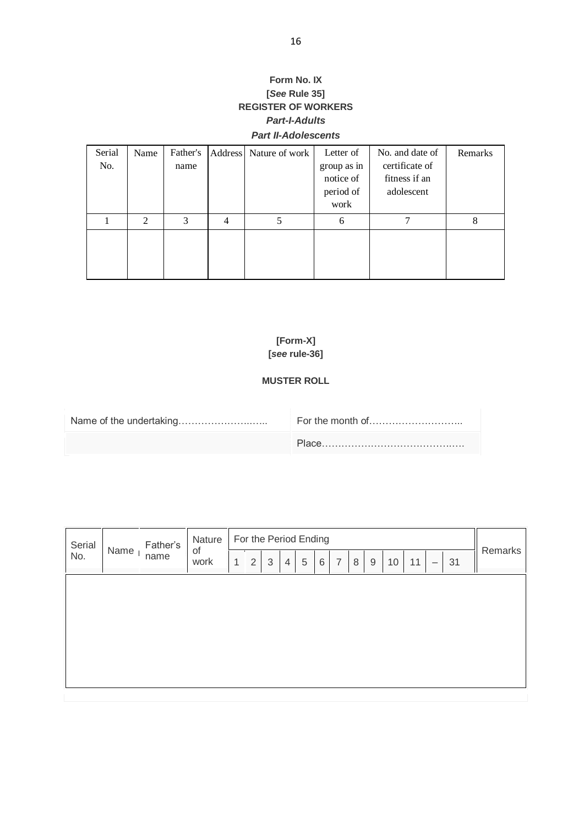# **Form No. IX [***See* **Rule 35] REGISTER OF WORKERS** *Part-I-Adults Part II-Adolescents*

| Serial | Name | Father's |   | Address Nature of work | Letter of   | No. and date of | Remarks |
|--------|------|----------|---|------------------------|-------------|-----------------|---------|
| No.    |      | name     |   |                        | group as in | certificate of  |         |
|        |      |          |   |                        | notice of   | fitness if an   |         |
|        |      |          |   |                        | period of   | adolescent      |         |
|        |      |          |   |                        | work        |                 |         |
|        | 2    | 3        | 4 |                        | 6           |                 | 8       |
|        |      |          |   |                        |             |                 |         |
|        |      |          |   |                        |             |                 |         |
|        |      |          |   |                        |             |                 |         |
|        |      |          |   |                        |             |                 |         |

# **[Form-X] [***see* **rule-36]**

# **MUSTER ROLL**

| Serial<br>No. | Name | Father's<br>name | Nature<br>of<br>work | 1 | 2 | $\sqrt{3}$ | $\overline{4}$ | For the Period Ending<br>5 | $6\,$ | $\overline{7}$ | 8 | 9 | 10 | 11 | $\overline{\phantom{0}}$ | 31 | Remarks |
|---------------|------|------------------|----------------------|---|---|------------|----------------|----------------------------|-------|----------------|---|---|----|----|--------------------------|----|---------|
|               |      |                  |                      |   |   |            |                |                            |       |                |   |   |    |    |                          |    |         |
|               |      |                  |                      |   |   |            |                |                            |       |                |   |   |    |    |                          |    |         |
|               |      |                  |                      |   |   |            |                |                            |       |                |   |   |    |    |                          |    |         |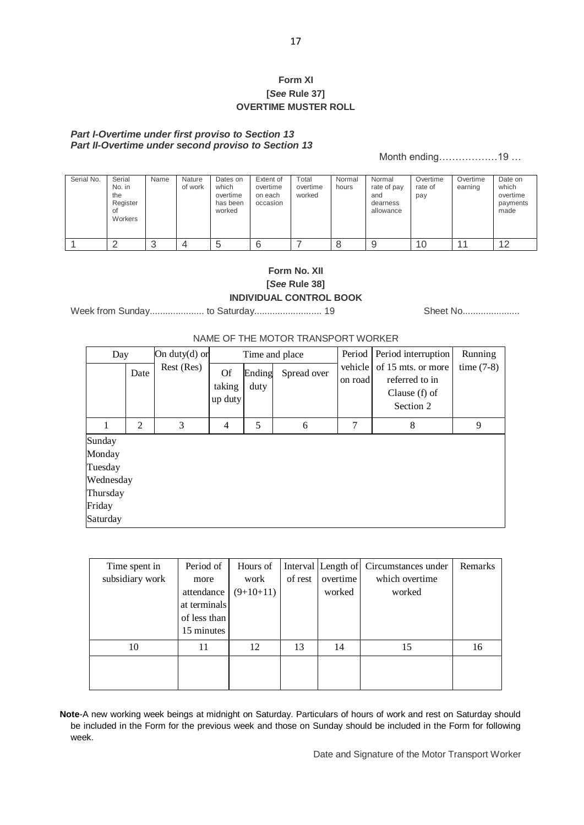## **Form XI [***See* **Rule 37] OVERTIME MUSTER ROLL**

## *Part I-Overtime under first proviso to Section 13 Part II-Overtime under second proviso to Section 13*

Month ending………………19 …

| Serial No. | Serial<br>No. in<br>the<br>Register<br>0f<br>Workers | Name | Nature<br>of work | Dates on<br>which<br>overtime<br>has been<br>worked | Extent of<br>overtime<br>on each<br>occasion | Total<br>overtime<br>worked | Normal<br>hours | Normal<br>rate of pay<br>and<br>dearness<br>allowance | Overtime<br>rate of<br>pay | Overtime<br>earning | Date on<br>which<br>overtime<br>payments<br>made |
|------------|------------------------------------------------------|------|-------------------|-----------------------------------------------------|----------------------------------------------|-----------------------------|-----------------|-------------------------------------------------------|----------------------------|---------------------|--------------------------------------------------|
|            |                                                      | ີ    |                   | G                                                   | 6                                            |                             |                 |                                                       | 10                         |                     | 12                                               |

## **Form No. XII [***See* **Rule 38] INDIVIDUAL CONTROL BOOK**

Week from Sunday..................... to Saturday.......................... 19 Sheet No......................

### NAME OF THE MOTOR TRANSPORT WORKER

| Day                                                                        |      | On duty $(d)$ or |                                |                               | Time and place | Period             | Period interruption                                                | Running      |
|----------------------------------------------------------------------------|------|------------------|--------------------------------|-------------------------------|----------------|--------------------|--------------------------------------------------------------------|--------------|
|                                                                            | Date | Rest (Res)       | <b>Of</b><br>taking<br>up duty | Spread over<br>Ending<br>duty |                | vehicle<br>on road | of 15 mts. or more<br>referred to in<br>Clause (f) of<br>Section 2 | time $(7-8)$ |
|                                                                            | 2    | 3                | $\overline{4}$                 | 5                             | 6              | 7                  | 8                                                                  | 9            |
| Sunday<br>Monday<br>Tuesday<br>Wednesday<br>Thursday<br>Friday<br>Saturday |      |                  |                                |                               |                |                    |                                                                    |              |

| Time spent in   | Period of    | Hours of    |         |          | Interval Length of Circumstances under | Remarks |
|-----------------|--------------|-------------|---------|----------|----------------------------------------|---------|
| subsidiary work | more         | work        | of rest | overtime | which overtime                         |         |
|                 | attendance   | $(9+10+11)$ |         | worked   | worked                                 |         |
|                 | at terminals |             |         |          |                                        |         |
|                 | of less than |             |         |          |                                        |         |
|                 | 15 minutes   |             |         |          |                                        |         |
| 10              | 11           | 12          | 13      | 14       | 15                                     | 16      |
|                 |              |             |         |          |                                        |         |
|                 |              |             |         |          |                                        |         |
|                 |              |             |         |          |                                        |         |

**Note**-A new working week beings at midnight on Saturday. Particulars of hours of work and rest on Saturday should be included in the Form for the previous week and those on Sunday should be included in the Form for following week.

Date and Signature of the Motor Transport Worker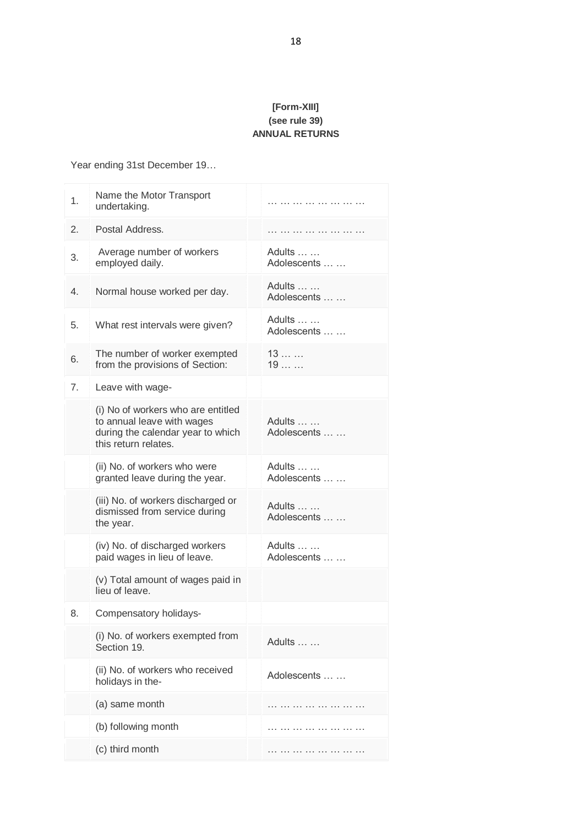# **[Form-XIII] (see rule 39) ANNUAL RETURNS**

Year ending 31st December 19…

| 1. | Name the Motor Transport<br>undertaking.                                                                                      |                               |
|----|-------------------------------------------------------------------------------------------------------------------------------|-------------------------------|
| 2. | Postal Address.                                                                                                               | .                             |
| 3. | Average number of workers<br>employed daily.                                                                                  | Adults<br>Adolescents         |
| 4. | Normal house worked per day.                                                                                                  | Adults<br>Adolescents         |
| 5. | What rest intervals were given?                                                                                               | Adults<br>Adolescents         |
| 6. | The number of worker exempted<br>from the provisions of Section:                                                              | 13<br>19                      |
| 7. | Leave with wage-                                                                                                              |                               |
|    | (i) No of workers who are entitled<br>to annual leave with wages<br>during the calendar year to which<br>this return relates. | Adults<br>Adolescents         |
|    | (ii) No. of workers who were<br>granted leave during the year.                                                                | Adults<br>Adolescents         |
|    | (iii) No. of workers discharged or<br>dismissed from service during<br>the year.                                              | Adults $\dots$<br>Adolescents |
|    | (iv) No. of discharged workers<br>paid wages in lieu of leave.                                                                | Adults<br>Adolescents         |
|    | (v) Total amount of wages paid in<br>lieu of leave.                                                                           |                               |
| 8. | Compensatory holidays-                                                                                                        |                               |
|    | (i) No. of workers exempted from<br>Section 19.                                                                               | Adults                        |
|    | (ii) No. of workers who received<br>holidays in the-                                                                          | Adolescents                   |
|    | (a) same month                                                                                                                |                               |
|    | (b) following month                                                                                                           |                               |
|    | (c) third month                                                                                                               |                               |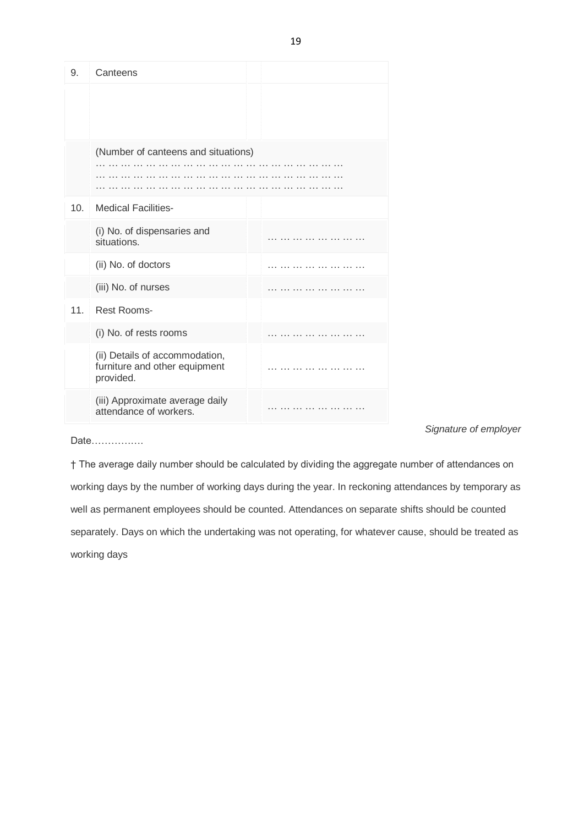| 9.              | Canteens                                                                     |  |
|-----------------|------------------------------------------------------------------------------|--|
|                 |                                                                              |  |
|                 |                                                                              |  |
|                 | (Number of canteens and situations)                                          |  |
|                 |                                                                              |  |
| 10 <sub>1</sub> | <b>Medical Facilities-</b>                                                   |  |
|                 | (i) No. of dispensaries and<br>situations.                                   |  |
|                 | (ii) No. of doctors                                                          |  |
|                 | (iii) No. of nurses                                                          |  |
| 11.             | Rest Rooms-                                                                  |  |
|                 | (i) No. of rests rooms                                                       |  |
|                 | (ii) Details of accommodation,<br>furniture and other equipment<br>provided. |  |
|                 | (iii) Approximate average daily<br>attendance of workers.                    |  |

Date…………….

*Signature of employer*

† The average daily number should be calculated by dividing the aggregate number of attendances on working days by the number of working days during the year. In reckoning attendances by temporary as well as permanent employees should be counted. Attendances on separate shifts should be counted separately. Days on which the undertaking was not operating, for whatever cause, should be treated as working days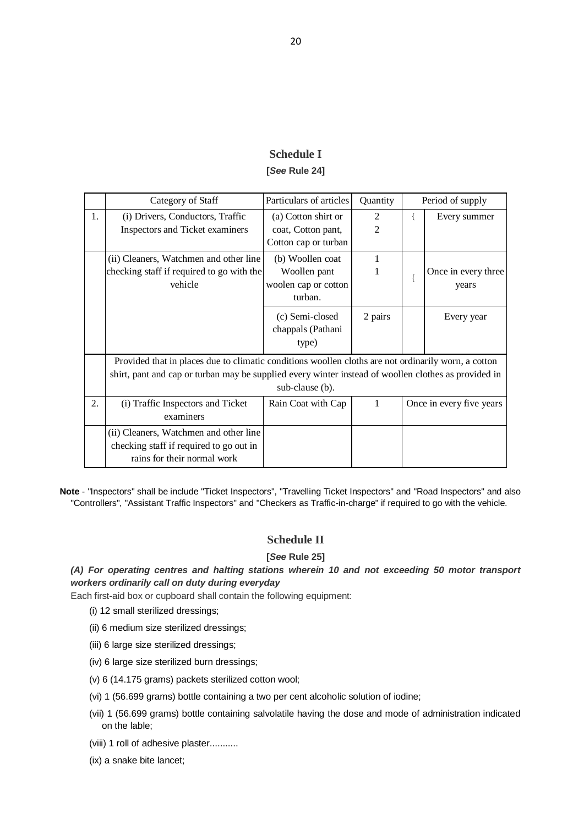# **Schedule I [***See* **Rule 24]**

|    | Category of Staff                                                                                                                                                                                           | Particulars of articles                                             | Quantity            |      | Period of supply             |
|----|-------------------------------------------------------------------------------------------------------------------------------------------------------------------------------------------------------------|---------------------------------------------------------------------|---------------------|------|------------------------------|
| 1. | (i) Drivers, Conductors, Traffic<br>Inspectors and Ticket examiners                                                                                                                                         | (a) Cotton shirt or<br>coat, Cotton pant,<br>Cotton cap or turban   | 2<br>$\overline{2}$ | $\{$ | Every summer                 |
|    | (ii) Cleaners, Watchmen and other line<br>checking staff if required to go with the<br>vehicle                                                                                                              | (b) Woollen coat<br>Woollen pant<br>woolen cap or cotton<br>turban. | 1<br>1              | $\{$ | Once in every three<br>years |
|    |                                                                                                                                                                                                             | (c) Semi-closed<br>chappals (Pathani<br>type)                       | 2 pairs             |      | Every year                   |
|    | Provided that in places due to climatic conditions woollen cloths are not ordinarily worn, a cotton<br>shirt, pant and cap or turban may be supplied every winter instead of woollen clothes as provided in | sub-clause (b).                                                     |                     |      |                              |
| 2. | (i) Traffic Inspectors and Ticket<br>examiners                                                                                                                                                              | Rain Coat with Cap                                                  | 1                   |      | Once in every five years     |
|    | (ii) Cleaners, Watchmen and other line<br>checking staff if required to go out in<br>rains for their normal work                                                                                            |                                                                     |                     |      |                              |

**Note** - "Inspectors" shall be include "Ticket Inspectors", "Travelling Ticket Inspectors" and "Road Inspectors" and also "Controllers", "Assistant Traffic Inspectors" and "Checkers as Traffic-in-charge" if required to go with the vehicle.

## **Schedule II**

## **[***See* **Rule 25]**

*(A) For operating centres and halting stations wherein 10 and not exceeding 50 motor transport workers ordinarily call on duty during everyday*

Each first-aid box or cupboard shall contain the following equipment:

- (i) 12 small sterilized dressings;
- (ii) 6 medium size sterilized dressings;
- (iii) 6 large size sterilized dressings;
- (iv) 6 large size sterilized burn dressings;
- (v) 6 (14.175 grams) packets sterilized cotton wool;
- (vi) 1 (56.699 grams) bottle containing a two per cent alcoholic solution of iodine;
- (vii) 1 (56.699 grams) bottle containing salvolatile having the dose and mode of administration indicated on the lable;
- (viii) 1 roll of adhesive plaster...........
- (ix) a snake bite lancet;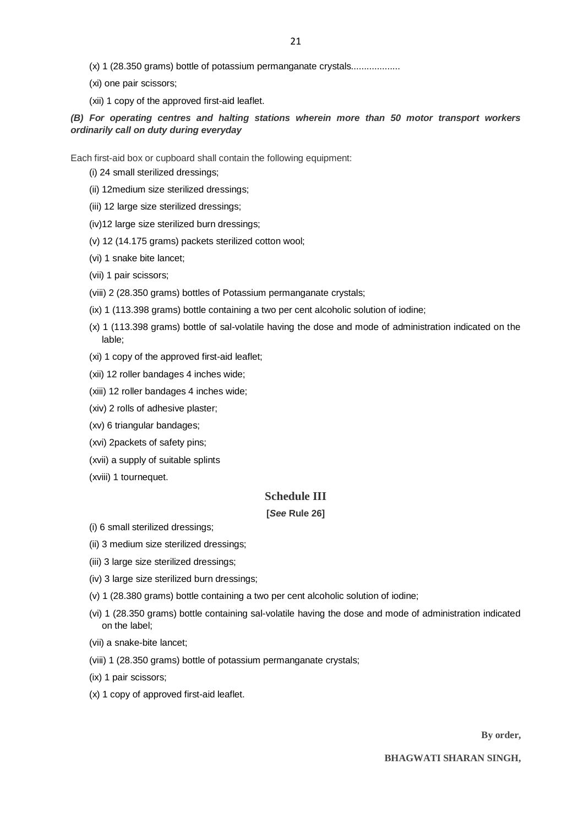- (x) 1 (28.350 grams) bottle of potassium permanganate crystals...................
- (xi) one pair scissors;
- (xii) 1 copy of the approved first-aid leaflet.

## *(B) For operating centres and halting stations wherein more than 50 motor transport workers ordinarily call on duty during everyday*

Each first-aid box or cupboard shall contain the following equipment:

- (i) 24 small sterilized dressings;
- (ii) 12medium size sterilized dressings;
- (iii) 12 large size sterilized dressings;
- (iv)12 large size sterilized burn dressings;
- (v) 12 (14.175 grams) packets sterilized cotton wool;
- (vi) 1 snake bite lancet;
- (vii) 1 pair scissors;
- (viii) 2 (28.350 grams) bottles of Potassium permanganate crystals;
- (ix) 1 (113.398 grams) bottle containing a two per cent alcoholic solution of iodine;
- (x) 1 (113.398 grams) bottle of sal-volatile having the dose and mode of administration indicated on the lable;
- (xi) 1 copy of the approved first-aid leaflet;
- (xii) 12 roller bandages 4 inches wide;
- (xiii) 12 roller bandages 4 inches wide;
- (xiv) 2 rolls of adhesive plaster;
- (xv) 6 triangular bandages;
- (xvi) 2packets of safety pins;
- (xvii) a supply of suitable splints
- (xviii) 1 tournequet.

## **Schedule III**

### **[***See* **Rule 26]**

- (i) 6 small sterilized dressings;
- (ii) 3 medium size sterilized dressings;
- (iii) 3 large size sterilized dressings;
- (iv) 3 large size sterilized burn dressings;
- (v) 1 (28.380 grams) bottle containing a two per cent alcoholic solution of iodine;
- (vi) 1 (28.350 grams) bottle containing sal-volatile having the dose and mode of administration indicated on the label;
- (vii) a snake-bite lancet;
- (viii) 1 (28.350 grams) bottle of potassium permanganate crystals;
- (ix) 1 pair scissors;
- (x) 1 copy of approved first-aid leaflet.

**By order,**